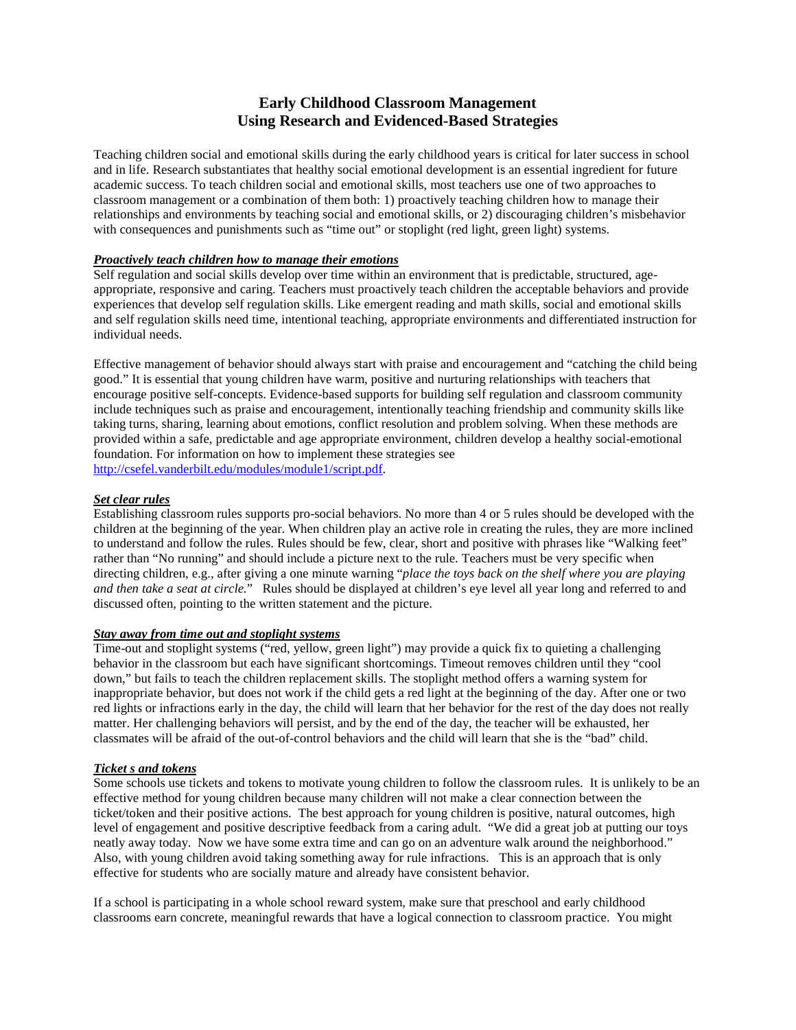# **Early Childhood Classroom Management Using Research and Evidenced-Based Strategies**

Teaching children social and emotional skills during the early childhood years is critical for later success in school and in life. Research substantiates that healthy social emotional development is an essential ingredient for future academic success. To teach children social and emotional skills, most teachers use one of two approaches to classroom management or a combination of them both: 1) proactively teaching children how to manage their relationships and environments by teaching social and emotional skills, or 2) discouraging children's misbehavior with consequences and punishments such as "time out" or stoplight (red light, green light) systems.

## *Proactively teach children how to manage their emotions*

Self regulation and social skills develop over time within an environment that is predictable, structured, ageappropriate, responsive and caring. Teachers must proactively teach children the acceptable behaviors and provide experiences that develop self regulation skills. Like emergent reading and math skills, social and emotional skills and self regulation skills need time, intentional teaching, appropriate environments and differentiated instruction for individual needs.

Effective management of behavior should always start with praise and encouragement and "catching the child being good." It is essential that young children have warm, positive and nurturing relationships with teachers that encourage positive self-concepts. Evidence-based supports for building self regulation and classroom community include techniques such as praise and encouragement, intentionally teaching friendship and community skills like taking turns, sharing, learning about emotions, conflict resolution and problem solving. When these methods are provided within a safe, predictable and age appropriate environment, children develop a healthy social-emotional foundation. For information on how to implement these strategies see [http://csefel.vanderbilt.edu/modules/module1/script.pdf.](http://csefel.vanderbilt.edu/modules/module1/script.pdf)

### *Set clear rules*

Establishing classroom rules supports pro-social behaviors. No more than 4 or 5 rules should be developed with the children at the beginning of the year. When children play an active role in creating the rules, they are more inclined to understand and follow the rules. Rules should be few, clear, short and positive with phrases like "Walking feet" rather than "No running" and should include a picture next to the rule. Teachers must be very specific when directing children, e.g., after giving a one minute warning "*place the toys back on the shelf where you are playing and then take a seat at circle.*" Rules should be displayed at children's eye level all year long and referred to and discussed often, pointing to the written statement and the picture.

#### *Stay away from time out and stoplight systems*

Time-out and stoplight systems ("red, yellow, green light") may provide a quick fix to quieting a challenging behavior in the classroom but each have significant shortcomings. Timeout removes children until they "cool down," but fails to teach the children replacement skills. The stoplight method offers a warning system for inappropriate behavior, but does not work if the child gets a red light at the beginning of the day. After one or two red lights or infractions early in the day, the child will learn that her behavior for the rest of the day does not really matter. Her challenging behaviors will persist, and by the end of the day, the teacher will be exhausted, her classmates will be afraid of the out-of-control behaviors and the child will learn that she is the "bad" child.

#### *Ticket s and tokens*

Some schools use tickets and tokens to motivate young children to follow the classroom rules. It is unlikely to be an effective method for young children because many children will not make a clear connection between the ticket/token and their positive actions. The best approach for young children is positive, natural outcomes, high level of engagement and positive descriptive feedback from a caring adult. "We did a great job at putting our toys neatly away today. Now we have some extra time and can go on an adventure walk around the neighborhood." Also, with young children avoid taking something away for rule infractions. This is an approach that is only effective for students who are socially mature and already have consistent behavior.

If a school is participating in a whole school reward system, make sure that preschool and early childhood classrooms earn concrete, meaningful rewards that have a logical connection to classroom practice. You might